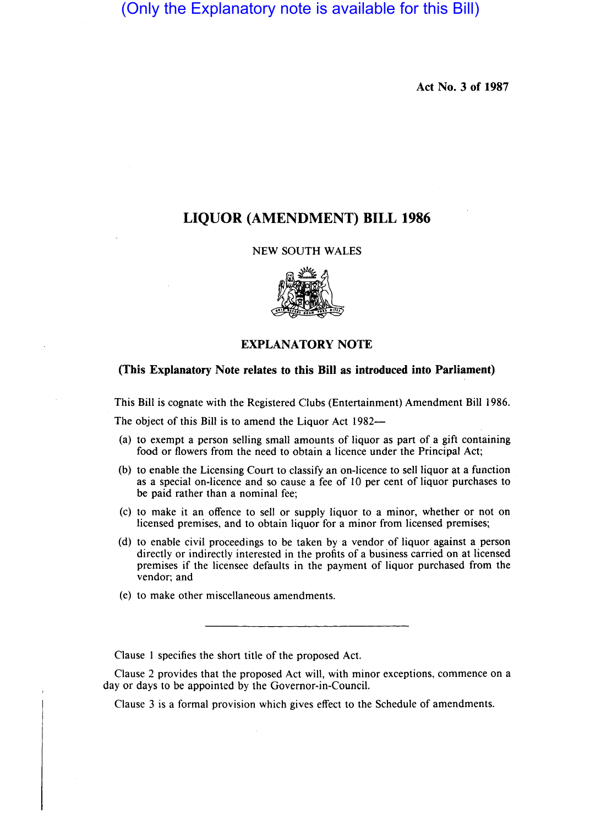(Only the Explanatory note is available for this Bill)

Act No. 3 of 1987

# LIQUOR (AMENDMENT) BILL 1986

#### NEW SOUTH WALES



### EXPLANATORY NOTE

## (This Explanatory Note relates to this Bill as introduced into Parliament)

This Bill is cognate with the Registered Clubs (Entertainment) Amendment Bill 1986.

The object of this Bill is to amend the Liquor Act 1982--

- (a) to exempt a person selling small amounts of liquor as part of a gift containing food or flowers from the need to obtain a licence under the Principal Act;
- (b) to enable the Licensing Court to classify an on-licence to sell liquor at a function as a special on-licence and so cause a fee of 10 per cent of liquor purchases to be paid rather than a nominal fee;
- (c) to make it an offence to sell or supply liquor to a minor, whether or not on licensed premises, and to obtain liquor for a minor from licensed premises;
- (d) to enable civil proceedings to be taken by a vendor of liquor against a person directly or indirectly interested in the profits of a business carried on at licensed premises if the licensee defaults in the payment of liquor purchased from the vendor; and
- (e) to make other miscellaneous amendments.

Clause 1 specifies the short title of the proposed Act.

Clause 2 provides that the proposed Act will, with minor exceptions, commence on a day or days to be appointed by the Governor-in-Council.

Clause 3 is a formal provision which gives effect to the Schedule of amendments.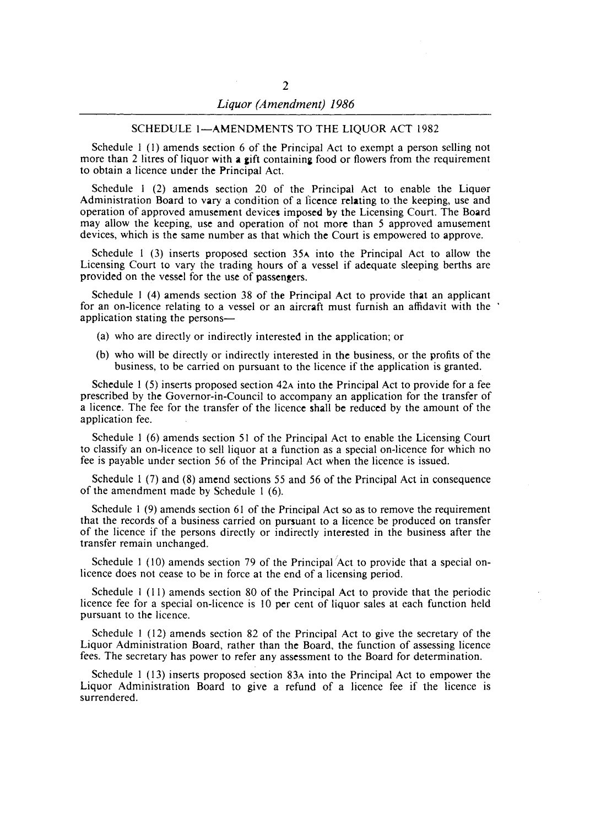#### SCHEDULE 1-AMENDMENTS TO THE LIQUOR ACT 1982

Schedule I (I) amends section 6 of the Principal Act to exempt a person selling not more than 2 litres of liquor with a gift containing food or flowers from the requirement to obtain a licence under the Principal Act.

Schedule 1 (2) amends section 20 of the Principal Act to enable the Liquor Administration Board to vary a condition of a I'icence relating to the keeping, use and operation of approved amusement devices imposed by the Licensing Court. The Board may alIow the keeping, use and operation of not more than 5 approved amusement devices, which is the same number as that which the Court is empowered to approve.

Schedule 1 (3) inserts proposed section 35A into the Principal Act to allow the Licensing Court to vary the trading hours of a vessel if adequate sleeping berths are provided on the vessel for the use of passengers.

Schedule I (4) amends section 38 of the Principal Act to provide that an applicant for an on-licence relating to a vessel or an aircraft must furnish an affidavit with the application stating the persons-

- (a) who are directly or indirectly interested in the application; or
- (b) who will be directly or indirectly interested in the business, or the profits of the business, to be carried on pursuant to the licence if the application is granted.

Schedule 1 (5) inserts proposed section 42A into the Principal Act to provide for a fee prescribed by the Governor-in-Council to accompany an application for the transfer of a licence. The fee for the transfer of the licence shall be reduced by the amount of the application fee.

Schedule I (6) amends section 51 of the Principal Act to enable the Licensing Court to classify an on-licence to sell liquor at a function as a special on-licence for which no fee is payable under section 56 of the Principal Act when the licence is issued.

Schedule I (7) and (8) amend sections 55 and 56 of the Principal Act in consequence of the amendment made by Schedule I (6).

Schedule 1 (9) amends section 61 of the Principal Act so as to remove the requirement that the records of a business carried on pursuant to a licence be produced on transfer of the licence if the persons directly or indirectly interested in the business after the transfer remain unchanged.

Schedule 1 (10) amends section 79 of the Principal  $/$ Act to provide that a special onlicence does not cease to be in force at the end of a licensing period.

Schedule I (11) amends section 80 of the Principal Act to provide that the periodic licence fee for a special on-licence is 10 per cent of liquor sales at each function held pursuant to the licence.

Schedule I (12) amends section 82 of the Principal Act to give the secretary of the Liquor Administration Board, rather than the Board, the function of assessing licence fees. The secretary has power to refer any assessment to the Board for determination.

Schedule I (13) inserts proposed section 83A into the Principal Act to empower the Liquor Administration Board to give a refund of a licence fee if the licence is surrendered.